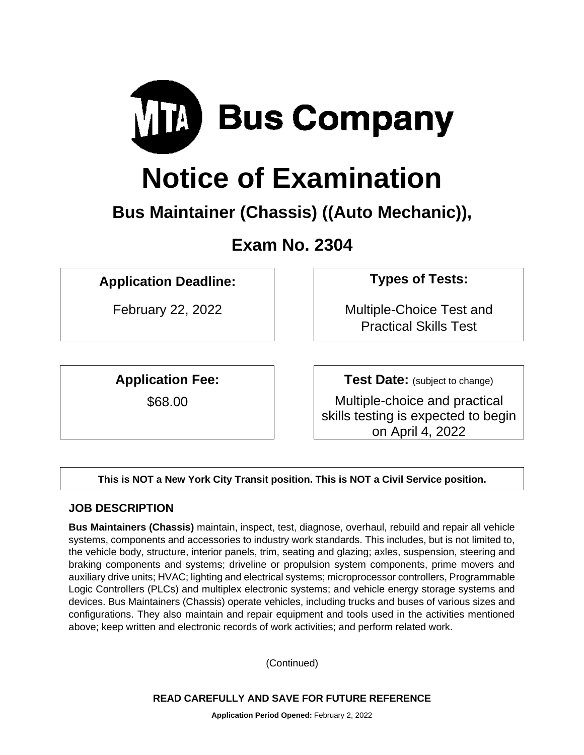

# **Notice of Examination**

# **Bus Maintainer (Chassis) ((Auto Mechanic)),**

# **Exam No. 2304**

# **Application Deadline: Types of Tests:**

**Application Fee:**

\$68.00

February 22, 2022 **February 22, 2022 Multiple-Choice Test and** Practical Skills Test

**Test Date:** (subject to change)

Multiple-choice and practical skills testing is expected to begin on April 4, 2022

**This is NOT a New York City Transit position. This is NOT a Civil Service position.** 

# **JOB DESCRIPTION**

**Bus Maintainers (Chassis)** maintain, inspect, test, diagnose, overhaul, rebuild and repair all vehicle systems, components and accessories to industry work standards. This includes, but is not limited to, the vehicle body, structure, interior panels, trim, seating and glazing; axles, suspension, steering and braking components and systems; driveline or propulsion system components, prime movers and auxiliary drive units; HVAC; lighting and electrical systems; microprocessor controllers, Programmable Logic Controllers (PLCs) and multiplex electronic systems; and vehicle energy storage systems and devices. Bus Maintainers (Chassis) operate vehicles, including trucks and buses of various sizes and configurations. They also maintain and repair equipment and tools used in the activities mentioned above; keep written and electronic records of work activities; and perform related work.

(Continued)

**READ CAREFULLY AND SAVE FOR FUTURE REFERENCE**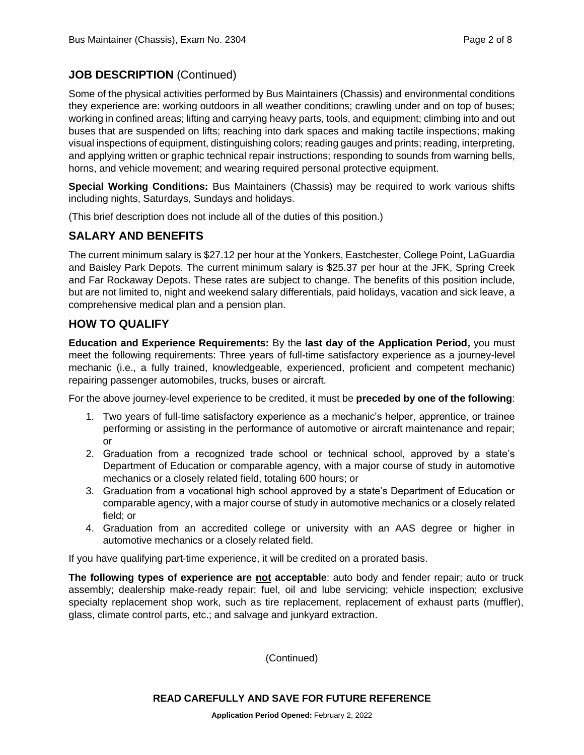# **JOB DESCRIPTION** (Continued)

Some of the physical activities performed by Bus Maintainers (Chassis) and environmental conditions they experience are: working outdoors in all weather conditions; crawling under and on top of buses; working in confined areas; lifting and carrying heavy parts, tools, and equipment; climbing into and out buses that are suspended on lifts; reaching into dark spaces and making tactile inspections; making visual inspections of equipment, distinguishing colors; reading gauges and prints; reading, interpreting, and applying written or graphic technical repair instructions; responding to sounds from warning bells, horns, and vehicle movement; and wearing required personal protective equipment.

**Special Working Conditions:** Bus Maintainers (Chassis) may be required to work various shifts including nights, Saturdays, Sundays and holidays.

(This brief description does not include all of the duties of this position.)

# **SALARY AND BENEFITS**

The current minimum salary is \$27.12 per hour at the Yonkers, Eastchester, College Point, LaGuardia and Baisley Park Depots. The current minimum salary is \$25.37 per hour at the JFK, Spring Creek and Far Rockaway Depots. These rates are subject to change. The benefits of this position include, but are not limited to, night and weekend salary differentials, paid holidays, vacation and sick leave, a comprehensive medical plan and a pension plan.

#### **HOW TO QUALIFY**

**Education and Experience Requirements:** By the **last day of the Application Period,** you must meet the following requirements: Three years of full-time satisfactory experience as a journey-level mechanic (i.e., a fully trained, knowledgeable, experienced, proficient and competent mechanic) repairing passenger automobiles, trucks, buses or aircraft.

For the above journey-level experience to be credited, it must be **preceded by one of the following**:

- 1. Two years of full-time satisfactory experience as a mechanic's helper, apprentice, or trainee performing or assisting in the performance of automotive or aircraft maintenance and repair; or
- 2. Graduation from a recognized trade school or technical school, approved by a state's Department of Education or comparable agency, with a major course of study in automotive mechanics or a closely related field, totaling 600 hours; or
- 3. Graduation from a vocational high school approved by a state's Department of Education or comparable agency, with a major course of study in automotive mechanics or a closely related field; or
- 4. Graduation from an accredited college or university with an AAS degree or higher in automotive mechanics or a closely related field.

If you have qualifying part-time experience, it will be credited on a prorated basis.

**The following types of experience are not acceptable**: auto body and fender repair; auto or truck assembly; dealership make-ready repair; fuel, oil and lube servicing; vehicle inspection; exclusive specialty replacement shop work, such as tire replacement, replacement of exhaust parts (muffler), glass, climate control parts, etc.; and salvage and junkyard extraction.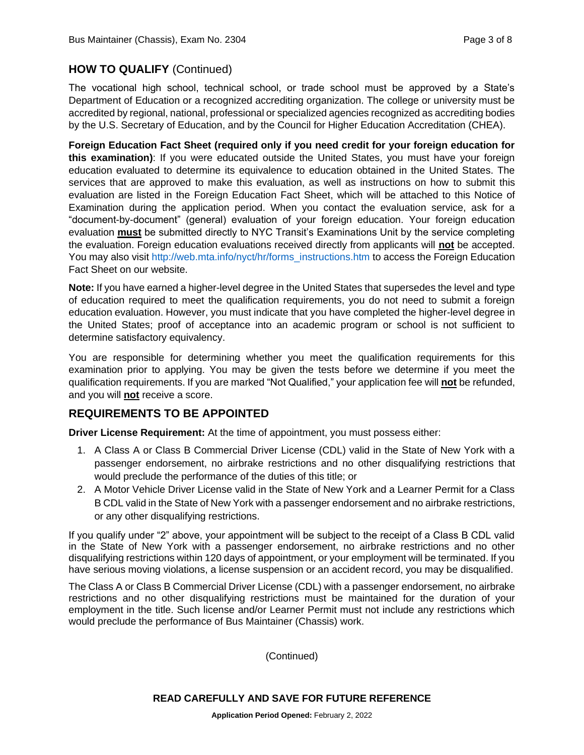# **HOW TO QUALIFY** (Continued)

The vocational high school, technical school, or trade school must be approved by a State's Department of Education or a recognized accrediting organization. The college or university must be accredited by regional, national, professional or specialized agencies recognized as accrediting bodies by the U.S. Secretary of Education, and by the Council for Higher Education Accreditation (CHEA).

**Foreign Education Fact Sheet (required only if you need credit for your foreign education for this examination)**: If you were educated outside the United States, you must have your foreign education evaluated to determine its equivalence to education obtained in the United States. The services that are approved to make this evaluation, as well as instructions on how to submit this evaluation are listed in the Foreign Education Fact Sheet, which will be attached to this Notice of Examination during the application period. When you contact the evaluation service, ask for a "document-by-document" (general) evaluation of your foreign education. Your foreign education evaluation **must** be submitted directly to NYC Transit's Examinations Unit by the service completing the evaluation. Foreign education evaluations received directly from applicants will **not** be accepted. You may also visit [http://web.mta.info/nyct/hr/forms\\_instructions.htm](http://web.mta.info/nyct/hr/forms_instructions.htm) to access the Foreign Education Fact Sheet on our website.

**Note:** If you have earned a higher-level degree in the United States that supersedes the level and type of education required to meet the qualification requirements, you do not need to submit a foreign education evaluation. However, you must indicate that you have completed the higher-level degree in the United States; proof of acceptance into an academic program or school is not sufficient to determine satisfactory equivalency.

You are responsible for determining whether you meet the qualification requirements for this examination prior to applying. You may be given the tests before we determine if you meet the qualification requirements. If you are marked "Not Qualified," your application fee will **not** be refunded, and you will **not** receive a score.

# **REQUIREMENTS TO BE APPOINTED**

**Driver License Requirement:** At the time of appointment, you must possess either:

- 1. A Class A or Class B Commercial Driver License (CDL) valid in the State of New York with a passenger endorsement, no airbrake restrictions and no other disqualifying restrictions that would preclude the performance of the duties of this title; or
- 2. A Motor Vehicle Driver License valid in the State of New York and a Learner Permit for a Class B CDL valid in the State of New York with a passenger endorsement and no airbrake restrictions, or any other disqualifying restrictions.

If you qualify under "2" above, your appointment will be subject to the receipt of a Class B CDL valid in the State of New York with a passenger endorsement, no airbrake restrictions and no other disqualifying restrictions within 120 days of appointment, or your employment will be terminated. If you have serious moving violations, a license suspension or an accident record, you may be disqualified.

The Class A or Class B Commercial Driver License (CDL) with a passenger endorsement, no airbrake restrictions and no other disqualifying restrictions must be maintained for the duration of your employment in the title. Such license and/or Learner Permit must not include any restrictions which would preclude the performance of Bus Maintainer (Chassis) work.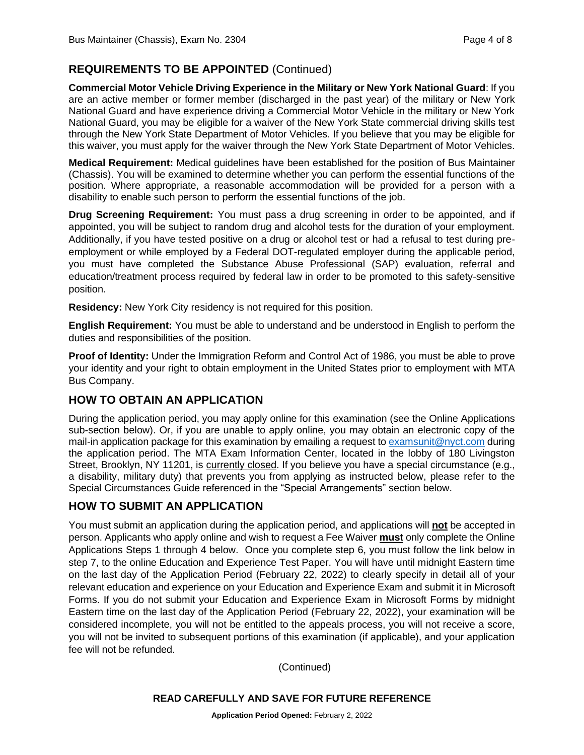# **REQUIREMENTS TO BE APPOINTED** (Continued)

**Commercial Motor Vehicle Driving Experience in the Military or New York National Guard**: If you are an active member or former member (discharged in the past year) of the military or New York National Guard and have experience driving a Commercial Motor Vehicle in the military or New York National Guard, you may be eligible for a waiver of the New York State commercial driving skills test through the New York State Department of Motor Vehicles. If you believe that you may be eligible for this waiver, you must apply for the waiver through the New York State Department of Motor Vehicles.

**Medical Requirement:** Medical guidelines have been established for the position of Bus Maintainer (Chassis). You will be examined to determine whether you can perform the essential functions of the position. Where appropriate, a reasonable accommodation will be provided for a person with a disability to enable such person to perform the essential functions of the job.

**Drug Screening Requirement:** You must pass a drug screening in order to be appointed, and if appointed, you will be subject to random drug and alcohol tests for the duration of your employment. Additionally, if you have tested positive on a drug or alcohol test or had a refusal to test during preemployment or while employed by a Federal DOT-regulated employer during the applicable period, you must have completed the Substance Abuse Professional (SAP) evaluation, referral and education/treatment process required by federal law in order to be promoted to this safety-sensitive position.

**Residency:** New York City residency is not required for this position.

**English Requirement:** You must be able to understand and be understood in English to perform the duties and responsibilities of the position.

**Proof of Identity:** Under the Immigration Reform and Control Act of 1986, you must be able to prove your identity and your right to obtain employment in the United States prior to employment with MTA Bus Company.

# **HOW TO OBTAIN AN APPLICATION**

During the application period, you may apply online for this examination (see the Online Applications sub-section below). Or, if you are unable to apply online, you may obtain an electronic copy of the mail-in application package for this examination by emailing a request to [examsunit@nyct.com](mailto:examsunit@nyct.com) during the application period. The MTA Exam Information Center, located in the lobby of 180 Livingston Street, Brooklyn, NY 11201, is currently closed. If you believe you have a special circumstance (e.g., a disability, military duty) that prevents you from applying as instructed below, please refer to the Special Circumstances Guide referenced in the "Special Arrangements" section below.

# **HOW TO SUBMIT AN APPLICATION**

You must submit an application during the application period, and applications will **not** be accepted in person. Applicants who apply online and wish to request a Fee Waiver **must** only complete the Online Applications Steps 1 through 4 below. Once you complete step 6, you must follow the link below in step 7, to the online Education and Experience Test Paper. You will have until midnight Eastern time on the last day of the Application Period (February 22, 2022) to clearly specify in detail all of your relevant education and experience on your Education and Experience Exam and submit it in Microsoft Forms. If you do not submit your Education and Experience Exam in Microsoft Forms by midnight Eastern time on the last day of the Application Period (February 22, 2022), your examination will be considered incomplete, you will not be entitled to the appeals process, you will not receive a score, you will not be invited to subsequent portions of this examination (if applicable), and your application fee will not be refunded.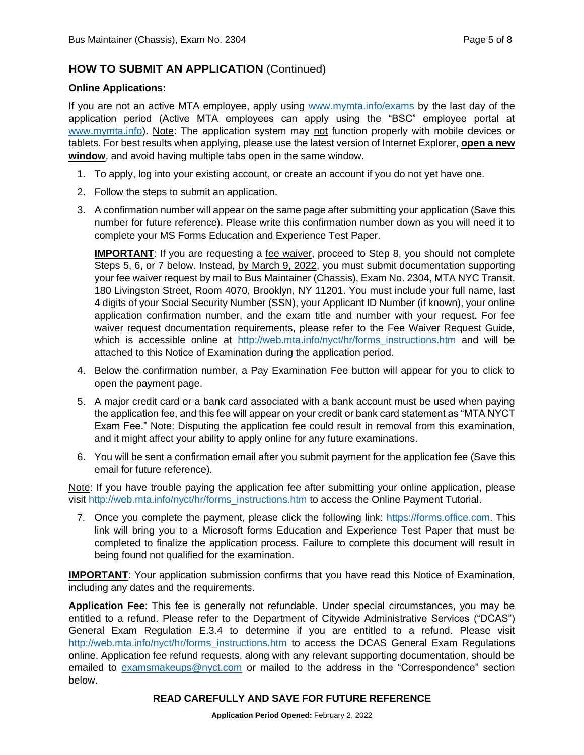# **HOW TO SUBMIT AN APPLICATION** (Continued)

#### **Online Applications:**

If you are not an active MTA employee, apply using [www.mymta.info/exams](http://www.mymta.info/exams) by the last day of the application period (Active MTA employees can apply using the "BSC" employee portal at [www.mymta.info\)](http://www.mymta.info/). Note: The application system may not function properly with mobile devices or tablets. For best results when applying, please use the latest version of Internet Explorer, **open a new window**, and avoid having multiple tabs open in the same window.

- 1. To apply, log into your existing account, or create an account if you do not yet have one.
- 2. Follow the steps to submit an application.
- 3. A confirmation number will appear on the same page after submitting your application (Save this number for future reference). Please write this confirmation number down as you will need it to complete your MS Forms Education and Experience Test Paper.

**IMPORTANT**: If you are requesting a fee waiver, proceed to Step 8, you should not complete Steps 5, 6, or 7 below. Instead, by March 9, 2022, you must submit documentation supporting your fee waiver request by mail to Bus Maintainer (Chassis), Exam No. 2304, MTA NYC Transit, 180 Livingston Street, Room 4070, Brooklyn, NY 11201. You must include your full name, last 4 digits of your Social Security Number (SSN), your Applicant ID Number (if known), your online application confirmation number, and the exam title and number with your request. For fee waiver request documentation requirements, please refer to the Fee Waiver Request Guide, which is accessible online at [http://web.mta.info/nyct/hr/forms\\_instructions.htm](http://web.mta.info/nyct/hr/forms_instructions.htm) and will be attached to this Notice of Examination during the application period.

- 4. Below the confirmation number, a Pay Examination Fee button will appear for you to click to open the payment page.
- 5. A major credit card or a bank card associated with a bank account must be used when paying the application fee, and this fee will appear on your credit or bank card statement as "MTA NYCT Exam Fee." Note: Disputing the application fee could result in removal from this examination, and it might affect your ability to apply online for any future examinations.
- 6. You will be sent a confirmation email after you submit payment for the application fee (Save this email for future reference).

Note: If you have trouble paying the application fee after submitting your online application, please visit [http://web.mta.info/nyct/hr/forms\\_instructions.htm](http://web.mta.info/nyct/hr/forms_instructions.htm) to access the Online Payment Tutorial.

7. Once you complete the payment, please click the following link: [https://forms.office.com](https://forms.office.com/Pages/ResponsePage.aspx?id=gHPAeZjMvUGAawrpJViPZtWViIC25BZDpw8hJ6pNoRxURDBZM0xVVjZKRjBKVzdMWUw1NU5GUkVFTC4u&wdLOR=cEA35CB2E-0887-44F6-8214-246EAE2AB2D5). This link will bring you to a Microsoft forms Education and Experience Test Paper that must be completed to finalize the application process. Failure to complete this document will result in being found not qualified for the examination.

**IMPORTANT**: Your application submission confirms that you have read this Notice of Examination, including any dates and the requirements.

**Application Fee**: This fee is generally not refundable. Under special circumstances, you may be entitled to a refund. Please refer to the Department of Citywide Administrative Services ("DCAS") General Exam Regulation E.3.4 to determine if you are entitled to a refund. Please visit [http://web.mta.info/nyct/hr/forms\\_instructions.htm](http://web.mta.info/nyct/hr/forms_instructions.htm) to access the DCAS General Exam Regulations online. Application fee refund requests, along with any relevant supporting documentation, should be emailed to [examsmakeups@nyct.com](mailto:examsmakeups@nyct.com) or mailed to the address in the "Correspondence" section below.

#### **READ CAREFULLY AND SAVE FOR FUTURE REFERENCE**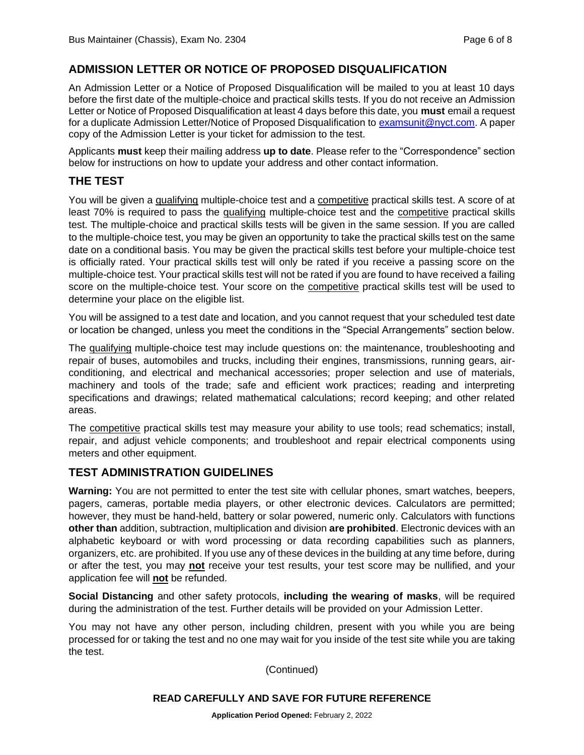# **ADMISSION LETTER OR NOTICE OF PROPOSED DISQUALIFICATION**

An Admission Letter or a Notice of Proposed Disqualification will be mailed to you at least 10 days before the first date of the multiple-choice and practical skills tests. If you do not receive an Admission Letter or Notice of Proposed Disqualification at least 4 days before this date, you **must** email a request for a duplicate Admission Letter/Notice of Proposed Disqualification to [examsunit@nyct.com.](mailto:examsunit@nyct.com) A paper copy of the Admission Letter is your ticket for admission to the test.

Applicants **must** keep their mailing address **up to date**. Please refer to the "Correspondence" section below for instructions on how to update your address and other contact information.

#### **THE TEST**

You will be given a qualifying multiple-choice test and a competitive practical skills test. A score of at least 70% is required to pass the qualifying multiple-choice test and the competitive practical skills test. The multiple-choice and practical skills tests will be given in the same session. If you are called to the multiple-choice test, you may be given an opportunity to take the practical skills test on the same date on a conditional basis. You may be given the practical skills test before your multiple-choice test is officially rated. Your practical skills test will only be rated if you receive a passing score on the multiple-choice test. Your practical skills test will not be rated if you are found to have received a failing score on the multiple-choice test. Your score on the competitive practical skills test will be used to determine your place on the eligible list.

You will be assigned to a test date and location, and you cannot request that your scheduled test date or location be changed, unless you meet the conditions in the "Special Arrangements" section below.

The qualifying multiple-choice test may include questions on: the maintenance, troubleshooting and repair of buses, automobiles and trucks, including their engines, transmissions, running gears, airconditioning, and electrical and mechanical accessories; proper selection and use of materials, machinery and tools of the trade; safe and efficient work practices; reading and interpreting specifications and drawings; related mathematical calculations; record keeping; and other related areas.

The competitive practical skills test may measure your ability to use tools; read schematics; install, repair, and adjust vehicle components; and troubleshoot and repair electrical components using meters and other equipment.

#### **TEST ADMINISTRATION GUIDELINES**

**Warning:** You are not permitted to enter the test site with cellular phones, smart watches, beepers, pagers, cameras, portable media players, or other electronic devices. Calculators are permitted; however, they must be hand-held, battery or solar powered, numeric only. Calculators with functions **other than** addition, subtraction, multiplication and division **are prohibited**. Electronic devices with an alphabetic keyboard or with word processing or data recording capabilities such as planners, organizers, etc. are prohibited. If you use any of these devices in the building at any time before, during or after the test, you may **not** receive your test results, your test score may be nullified, and your application fee will **not** be refunded.

**Social Distancing** and other safety protocols, **including the wearing of masks**, will be required during the administration of the test. Further details will be provided on your Admission Letter.

You may not have any other person, including children, present with you while you are being processed for or taking the test and no one may wait for you inside of the test site while you are taking the test.

(Continued)

#### **READ CAREFULLY AND SAVE FOR FUTURE REFERENCE**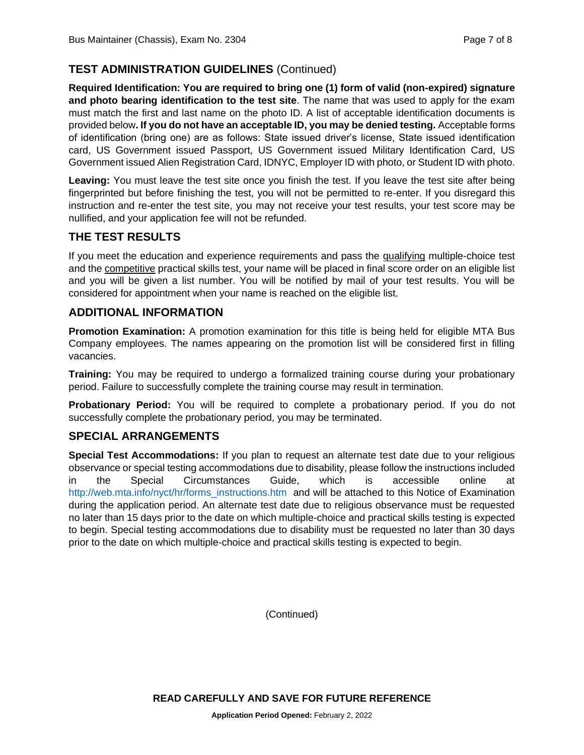# **TEST ADMINISTRATION GUIDELINES** (Continued)

**Required Identification: You are required to bring one (1) form of valid (non-expired) signature and photo bearing identification to the test site**. The name that was used to apply for the exam must match the first and last name on the photo ID. A list of acceptable identification documents is provided below**. If you do not have an acceptable ID, you may be denied testing.** Acceptable forms of identification (bring one) are as follows: State issued driver's license, State issued identification card, US Government issued Passport, US Government issued Military Identification Card, US Government issued Alien Registration Card, IDNYC, Employer ID with photo, or Student ID with photo.

**Leaving:** You must leave the test site once you finish the test. If you leave the test site after being fingerprinted but before finishing the test, you will not be permitted to re-enter. If you disregard this instruction and re-enter the test site, you may not receive your test results, your test score may be nullified, and your application fee will not be refunded.

# **THE TEST RESULTS**

If you meet the education and experience requirements and pass the qualifying multiple-choice test and the competitive practical skills test, your name will be placed in final score order on an eligible list and you will be given a list number. You will be notified by mail of your test results. You will be considered for appointment when your name is reached on the eligible list.

# **ADDITIONAL INFORMATION**

**Promotion Examination:** A promotion examination for this title is being held for eligible MTA Bus Company employees. The names appearing on the promotion list will be considered first in filling vacancies.

**Training:** You may be required to undergo a formalized training course during your probationary period. Failure to successfully complete the training course may result in termination.

**Probationary Period:** You will be required to complete a probationary period. If you do not successfully complete the probationary period, you may be terminated.

# **SPECIAL ARRANGEMENTS**

**Special Test Accommodations:** If you plan to request an alternate test date due to your religious observance or special testing accommodations due to disability, please follow the instructions included in the Special Circumstances Guide, which is accessible online at [http://web.mta.info/nyct/hr/forms\\_instructions.htm](http://web.mta.info/nyct/hr/forms_instructions.htm) and will be attached to this Notice of Examination during the application period. An alternate test date due to religious observance must be requested no later than 15 days prior to the date on which multiple-choice and practical skills testing is expected to begin. Special testing accommodations due to disability must be requested no later than 30 days prior to the date on which multiple-choice and practical skills testing is expected to begin.